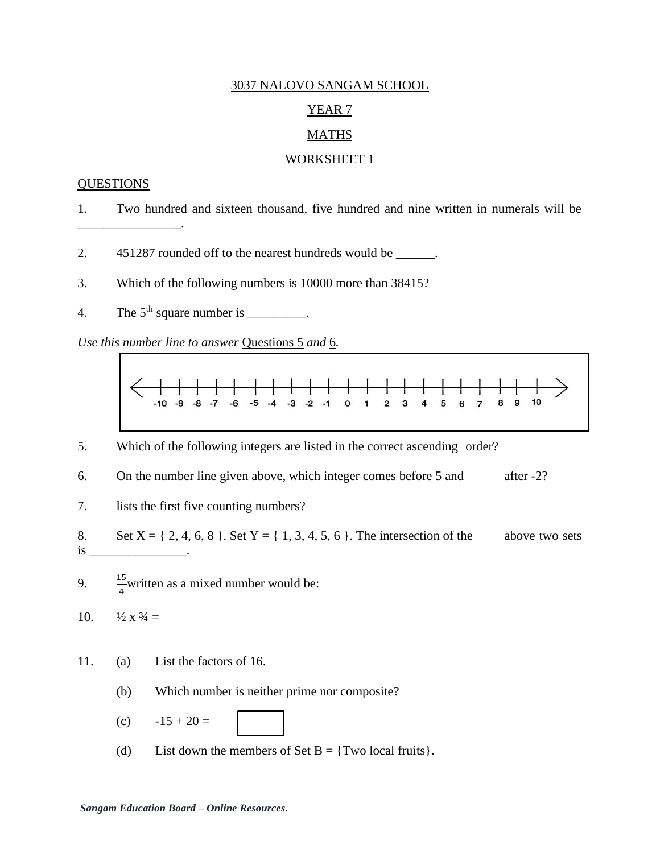### YEAR<sub>7</sub>

## **MATHS**

#### WORKSHEET 1

#### **QUESTIONS**

\_\_\_\_\_\_\_\_\_\_\_\_\_\_\_\_.

- 1. Two hundred and sixteen thousand, five hundred and nine written in numerals will be
- 2. 451287 rounded off to the nearest hundreds would be \_\_\_\_\_\_.
- 3. Which of the following numbers is 10000 more than 38415?
- 4. The  $5<sup>th</sup>$  square number is \_\_\_\_\_\_\_\_.

*Use this number line to answer* Questions 5 *and* 6*.*



- 5. Which of the following integers are listed in the correct ascending order?
- 6. On the number line given above, which integer comes before 5 and after -2?
- 7. lists the first five counting numbers?
- 8. Set  $X = \{ 2, 4, 6, 8 \}$ . Set  $Y = \{ 1, 3, 4, 5, 6 \}$ . The intersection of the above two sets  $\frac{1}{1}$  is  $\frac{1}{1}$
- 9.  $\frac{15}{4}$  written as a mixed number would be:
- 10.  $\frac{1}{2} \times \frac{3}{4} =$
- 11. (a) List the factors of 16.
	- (b) Which number is neither prime nor composite?
	- (c)  $-15 + 20 =$
	- (d) List down the members of Set  $B = \{Two local fruits\}.$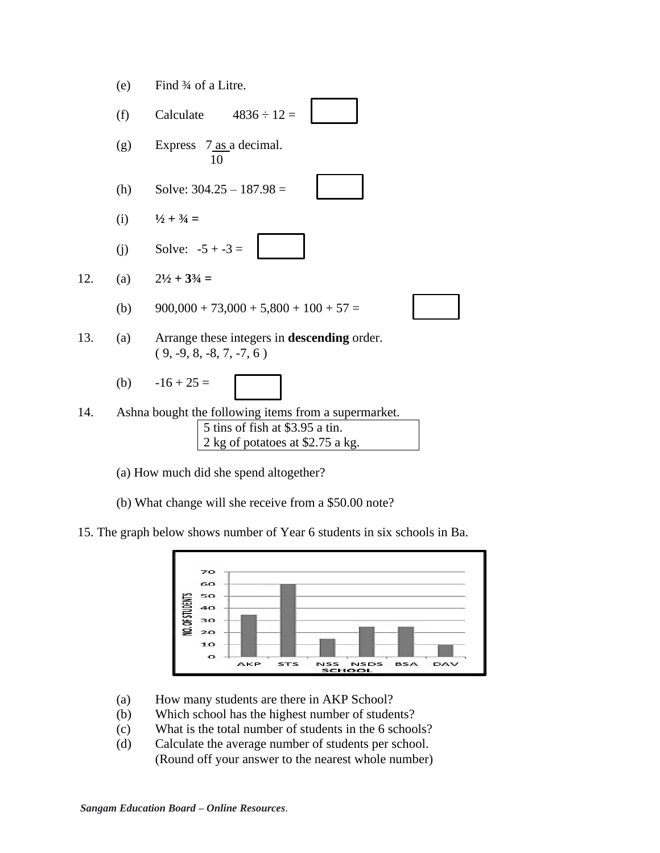

(a) How much did she spend altogether?

(b) What change will she receive from a \$50.00 note?

15. The graph below shows number of Year 6 students in six schools in Ba.



- (a) How many students are there in AKP School?
- (b) Which school has the highest number of students?
- (c) What is the total number of students in the 6 schools?
- (d) Calculate the average number of students per school. (Round off your answer to the nearest whole number)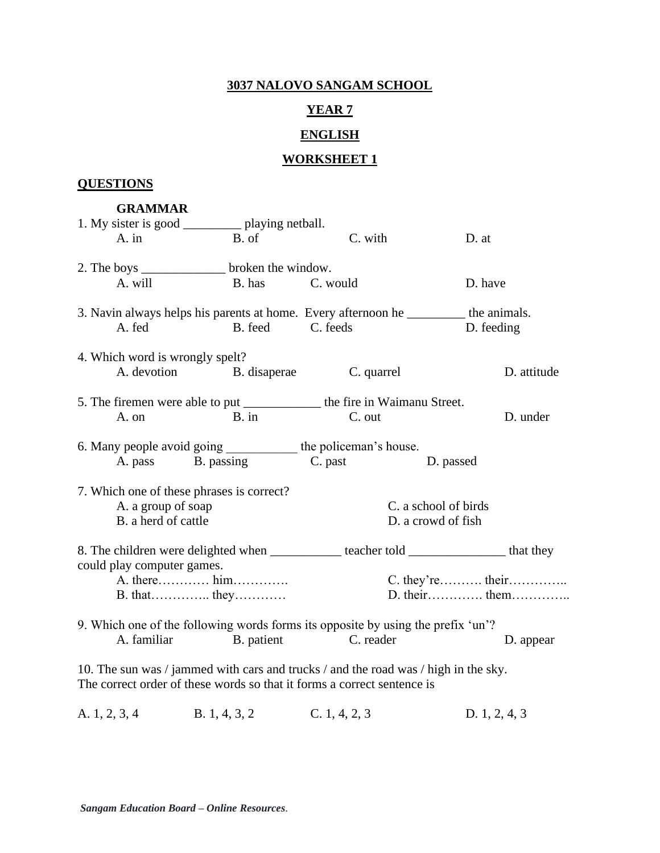# **YEAR 7**

# **ENGLISH**

# **WORKSHEET 1**

# **QUESTIONS**

#### **GRAMMAR**

|                                           | 1. My sister is good _____________ playing netball.                                                                                                            |               |                                                                                                     |
|-------------------------------------------|----------------------------------------------------------------------------------------------------------------------------------------------------------------|---------------|-----------------------------------------------------------------------------------------------------|
| A. in                                     | B. of                                                                                                                                                          | C. with       | D. at                                                                                               |
|                                           | 2. The boys ____________________ broken the window.                                                                                                            |               |                                                                                                     |
| A. will                                   | B. has C. would                                                                                                                                                |               | D. have                                                                                             |
| A. fed                                    | B. feed C. feeds                                                                                                                                               |               | 3. Navin always helps his parents at home. Every afternoon he __________ the animals.<br>D. feeding |
| 4. Which word is wrongly spelt?           |                                                                                                                                                                |               |                                                                                                     |
|                                           | A. devotion B. disaperae                                                                                                                                       | C. quarrel    | D. attitude                                                                                         |
|                                           | 5. The firemen were able to put ______________ the fire in Waimanu Street.<br>$\mathbf{B}$ . in                                                                |               | D. under                                                                                            |
| A. on                                     |                                                                                                                                                                | C. out        |                                                                                                     |
|                                           | 6. Many people avoid going ____________ the policeman's house.                                                                                                 |               |                                                                                                     |
|                                           | A. pass B. passing C. past D. passed                                                                                                                           |               |                                                                                                     |
| 7. Which one of these phrases is correct? |                                                                                                                                                                |               |                                                                                                     |
| A. a group of soap                        |                                                                                                                                                                |               | C. a school of birds                                                                                |
| B. a herd of cattle                       |                                                                                                                                                                |               | D. a crowd of fish                                                                                  |
| could play computer games.                |                                                                                                                                                                |               | 8. The children were delighted when ___________ teacher told ______________ that they               |
|                                           | A. there him                                                                                                                                                   |               |                                                                                                     |
|                                           | $B. that$ $they$                                                                                                                                               |               |                                                                                                     |
|                                           | 9. Which one of the following words forms its opposite by using the prefix 'un'?                                                                               |               |                                                                                                     |
| A. familiar                               | B. patient                                                                                                                                                     | C. reader     | D. appear                                                                                           |
|                                           | 10. The sun was / jammed with cars and trucks / and the road was / high in the sky.<br>The correct order of these words so that it forms a correct sentence is |               |                                                                                                     |
| A. 1, 2, 3, 4                             | B. 1, 4, 3, 2                                                                                                                                                  | C. 1, 4, 2, 3 | D. $1, 2, 4, 3$                                                                                     |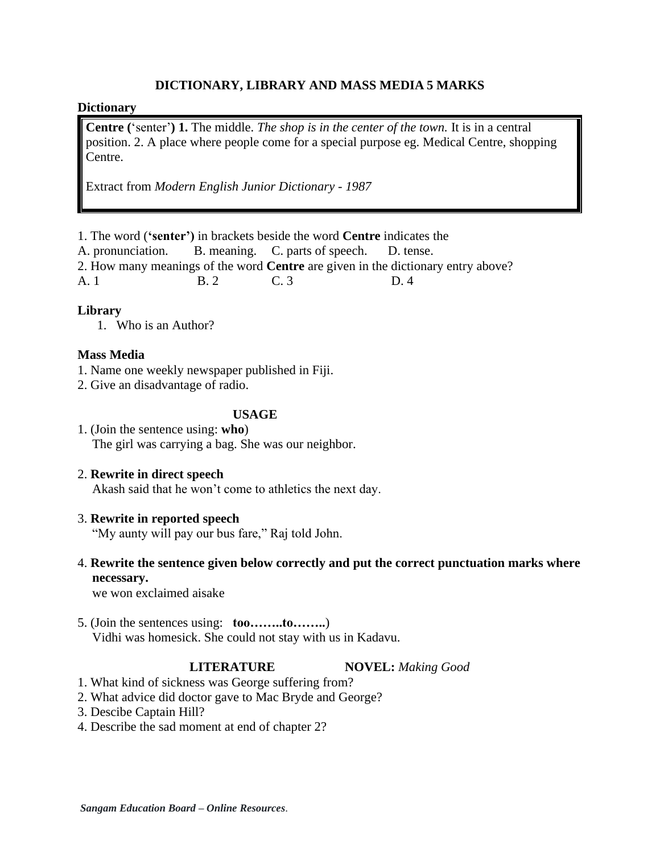## **DICTIONARY, LIBRARY AND MASS MEDIA 5 MARKS**

### **Dictionary**

**Centre (**'senter'**) 1.** The middle. *The shop is in the center of the town.* It is in a central position. 2. A place where people come for a special purpose eg. Medical Centre, shopping Centre.

Extract from *Modern English Junior Dictionary - 1987* 

1. The word (**'senter')** in brackets beside the word **Centre** indicates the

A. pronunciation. B. meaning. C. parts of speech. D. tense.

2. How many meanings of the word **Centre** are given in the dictionary entry above?

A. 1 B. 2 C. 3 D. 4

## **Library**

1. Who is an Author?

## **Mass Media**

- 1. Name one weekly newspaper published in Fiji.
- 2. Give an disadvantage of radio.

## **USAGE**

- 1. (Join the sentence using: **who**) The girl was carrying a bag. She was our neighbor.
- 2. **Rewrite in direct speech**

Akash said that he won't come to athletics the next day.

## 3. **Rewrite in reported speech**

"My aunty will pay our bus fare," Raj told John.

## 4. **Rewrite the sentence given below correctly and put the correct punctuation marks where necessary.**

we won exclaimed aisake

5. (Join the sentences using: **too……..to……..**) Vidhi was homesick. She could not stay with us in Kadavu.

**LITERATURE NOVEL:** *Making Good*

- 1. What kind of sickness was George suffering from?
- 2. What advice did doctor gave to Mac Bryde and George?
- 3. Descibe Captain Hill?
- 4. Describe the sad moment at end of chapter 2?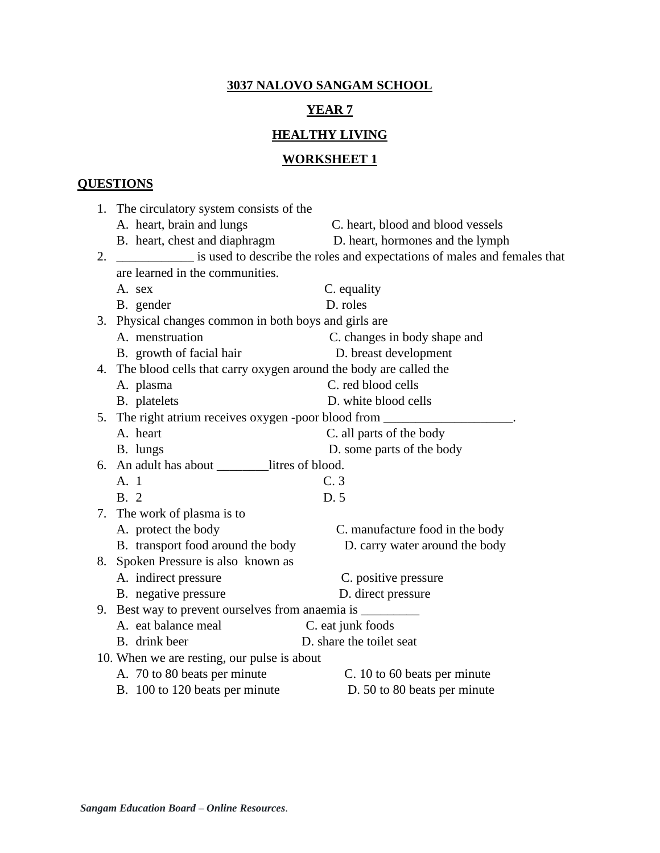# **YEAR 7**

# **HEALTHY LIVING**

# **WORKSHEET 1**

# **QUESTIONS**

|    | 1. The circulatory system consists of the                                         |                                                                          |
|----|-----------------------------------------------------------------------------------|--------------------------------------------------------------------------|
|    | A. heart, brain and lungs                                                         | C. heart, blood and blood vessels                                        |
|    | B. heart, chest and diaphragm                                                     | D. heart, hormones and the lymph                                         |
| 2. |                                                                                   | is used to describe the roles and expectations of males and females that |
|    | are learned in the communities.                                                   |                                                                          |
|    | A. sex                                                                            | C. equality                                                              |
|    | B. gender                                                                         | D. roles                                                                 |
|    | 3. Physical changes common in both boys and girls are                             |                                                                          |
|    | A. menstruation                                                                   | C. changes in body shape and                                             |
|    | B. growth of facial hair                                                          | D. breast development                                                    |
|    | 4. The blood cells that carry oxygen around the body are called the               |                                                                          |
|    | A. plasma                                                                         | C. red blood cells                                                       |
|    | B. platelets                                                                      | D. white blood cells                                                     |
|    | 5. The right atrium receives oxygen -poor blood from _______                      |                                                                          |
|    | A. heart                                                                          | C. all parts of the body                                                 |
|    | B. lungs                                                                          | D. some parts of the body                                                |
|    | 6. An adult has about ________litres of blood.                                    |                                                                          |
|    | A. 1                                                                              | C.3                                                                      |
|    | <b>B.</b> 2                                                                       | D. 5                                                                     |
|    | 7. The work of plasma is to                                                       |                                                                          |
|    | A. protect the body                                                               | C. manufacture food in the body                                          |
|    | B. transport food around the body                                                 | D. carry water around the body                                           |
| 8. | Spoken Pressure is also known as                                                  |                                                                          |
|    | A. indirect pressure                                                              | C. positive pressure                                                     |
|    | B. negative pressure                                                              | D. direct pressure                                                       |
|    | 9. Best way to prevent ourselves from anaemia is ________________________________ |                                                                          |
|    | A. eat balance meal                                                               | C. eat junk foods                                                        |
|    | B. drink beer                                                                     | D. share the toilet seat                                                 |
|    | 10. When we are resting, our pulse is about                                       |                                                                          |
|    | A. 70 to 80 beats per minute                                                      | C. 10 to 60 beats per minute                                             |
|    | B. 100 to 120 beats per minute                                                    | D. 50 to 80 beats per minute                                             |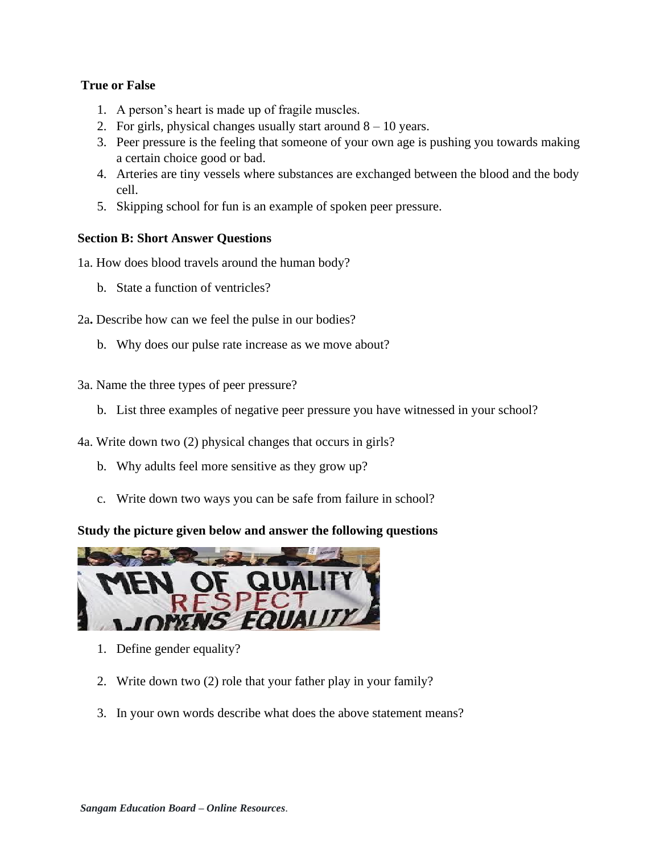# **True or False**

- 1. A person's heart is made up of fragile muscles.
- 2. For girls, physical changes usually start around  $8 10$  years.
- 3. Peer pressure is the feeling that someone of your own age is pushing you towards making a certain choice good or bad.
- 4. Arteries are tiny vessels where substances are exchanged between the blood and the body cell.
- 5. Skipping school for fun is an example of spoken peer pressure.

## **Section B: Short Answer Questions**

1a. How does blood travels around the human body?

b. State a function of ventricles?

2a**.** Describe how can we feel the pulse in our bodies?

- b. Why does our pulse rate increase as we move about?
- 3a. Name the three types of peer pressure?
	- b. List three examples of negative peer pressure you have witnessed in your school?
- 4a. Write down two (2) physical changes that occurs in girls?
	- b. Why adults feel more sensitive as they grow up?
	- c. Write down two ways you can be safe from failure in school?

# **Study the picture given below and answer the following questions**



- 1. Define gender equality?
- 2. Write down two (2) role that your father play in your family?
- 3. In your own words describe what does the above statement means?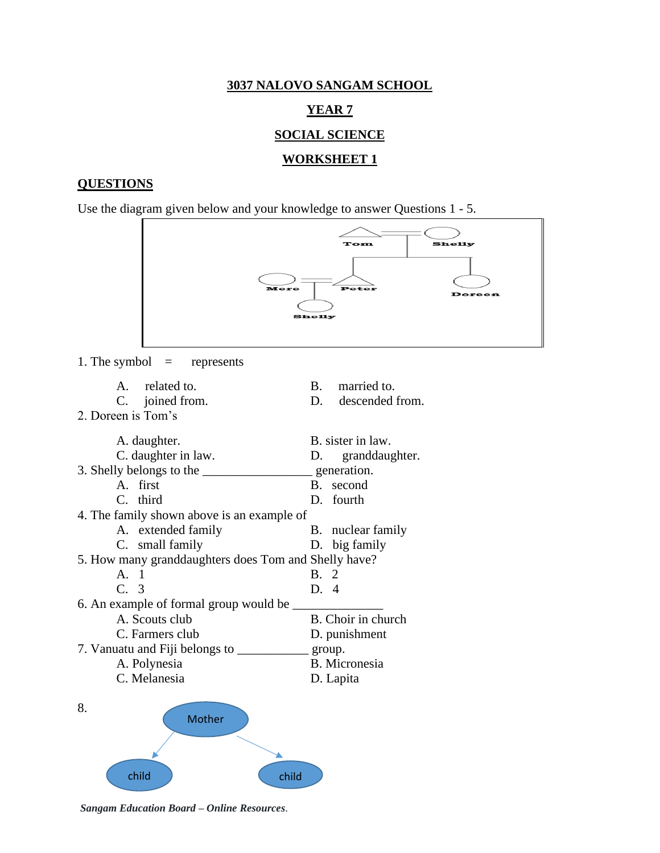#### **YEAR 7**

#### **SOCIAL SCIENCE**

#### **WORKSHEET 1**

#### **QUESTIONS**

Use the diagram given below and your knowledge to answer Questions 1 - 5.



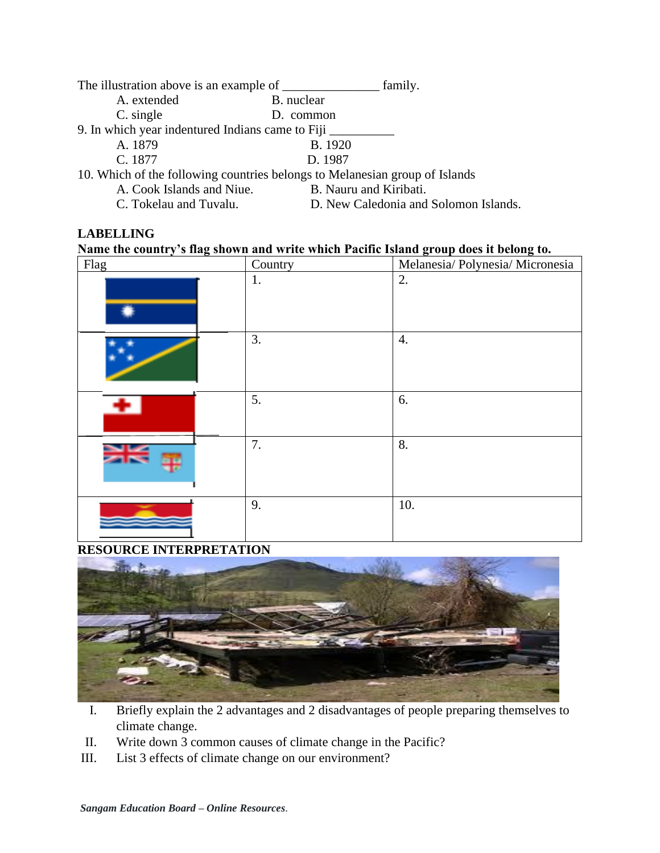| The illustration above is an example of _______  | family.                                                                     |
|--------------------------------------------------|-----------------------------------------------------------------------------|
| A. extended                                      | B. nuclear                                                                  |
| C. single                                        | D. common                                                                   |
| 9. In which year indentured Indians came to Fiji |                                                                             |
| A. 1879                                          | B. 1920                                                                     |
| C. 1877                                          | D. 1987                                                                     |
|                                                  | 10. Which of the following countries belongs to Melanesian group of Islands |

A. Cook Islands and Niue. B. Nauru and Kiribati.

C. Tokelau and Tuvalu. D. New Caledonia and Solomon Islands.

## **LABELLING**

## **Name the country's flag shown and write which Pacific Island group does it belong to.**

| Flag | Country | Melanesia/ Polynesia/ Micronesia |
|------|---------|----------------------------------|
|      | 1.      | 2.                               |
|      | 3.      | 4.                               |
|      | 5.      | 6.                               |
|      | 7.      | 8.                               |
|      | 9.      | 10.                              |

# **RESOURCE INTERPRETATION**



- I. Briefly explain the 2 advantages and 2 disadvantages of people preparing themselves to climate change.
- II. Write down 3 common causes of climate change in the Pacific?
- III. List 3 effects of climate change on our environment?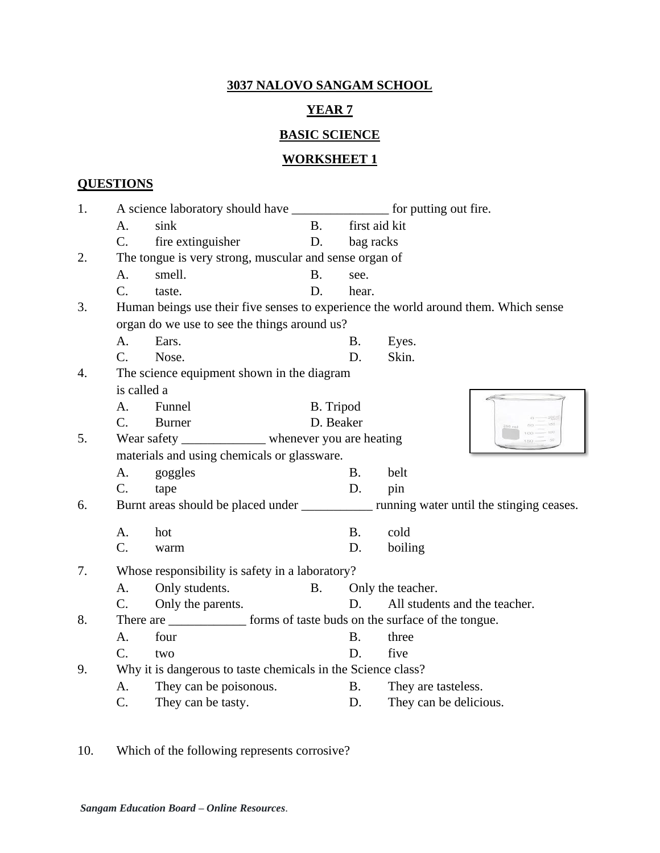# **YEAR 7**

# **BASIC SCIENCE**

# **WORKSHEET 1**

# **QUESTIONS**

| 1. |                 |                                                                              |           |               |                                                                                           |
|----|-----------------|------------------------------------------------------------------------------|-----------|---------------|-------------------------------------------------------------------------------------------|
|    | A.              | sink                                                                         | <b>B.</b> | first aid kit |                                                                                           |
|    | $C_{\cdot}$     | fire extinguisher                                                            | D.        | bag racks     |                                                                                           |
| 2. |                 | The tongue is very strong, muscular and sense organ of                       |           |               |                                                                                           |
|    | A.              | smell.                                                                       | <b>B.</b> | see.          |                                                                                           |
|    | $\mathcal{C}$ . | taste.                                                                       | D.        | hear.         |                                                                                           |
| 3. |                 |                                                                              |           |               | Human beings use their five senses to experience the world around them. Which sense       |
|    |                 | organ do we use to see the things around us?                                 |           |               |                                                                                           |
|    | A.              | Ears.                                                                        |           | <b>B.</b>     | Eyes.                                                                                     |
|    | $C_{\cdot}$     | Nose.                                                                        |           | D.            | Skin.                                                                                     |
| 4. |                 | The science equipment shown in the diagram                                   |           |               |                                                                                           |
|    | is called a     |                                                                              |           |               |                                                                                           |
|    | A <sub>1</sub>  | Funnel                                                                       | B. Tripod |               |                                                                                           |
|    | $C_{\cdot}$     | <b>Burner</b>                                                                | D. Beaker |               |                                                                                           |
| 5. |                 | Wear safety _______________ whenever you are heating                         |           |               |                                                                                           |
|    |                 | materials and using chemicals or glassware.                                  |           |               |                                                                                           |
|    | A.              | goggles                                                                      |           | <b>B.</b>     | belt                                                                                      |
|    | C.              | tape                                                                         |           | D.            | pin                                                                                       |
| 6. |                 |                                                                              |           |               | Burnt areas should be placed under _____________ running water until the stinging ceases. |
|    | A.              | hot                                                                          |           | <b>B.</b>     | cold                                                                                      |
|    | C.              | warm                                                                         |           | D.            | boiling                                                                                   |
| 7. |                 | Whose responsibility is safety in a laboratory?                              |           |               |                                                                                           |
|    | A.              | Only students.                                                               | <b>B.</b> |               | Only the teacher.                                                                         |
|    | C.              | Only the parents.                                                            |           | D.            | All students and the teacher.                                                             |
| 8. |                 | There are ________________ forms of taste buds on the surface of the tongue. |           |               |                                                                                           |
|    | A.              | four                                                                         |           | <b>B.</b>     | three                                                                                     |
|    | $C_{\cdot}$     | two                                                                          |           | D.            | five                                                                                      |
| 9. |                 | Why it is dangerous to taste chemicals in the Science class?                 |           |               |                                                                                           |
|    | А.              | They can be poisonous.                                                       |           | <b>B.</b>     | They are tasteless.                                                                       |
|    | C.              | They can be tasty.                                                           |           | D.            | They can be delicious.                                                                    |
|    |                 |                                                                              |           |               |                                                                                           |

10. Which of the following represents corrosive?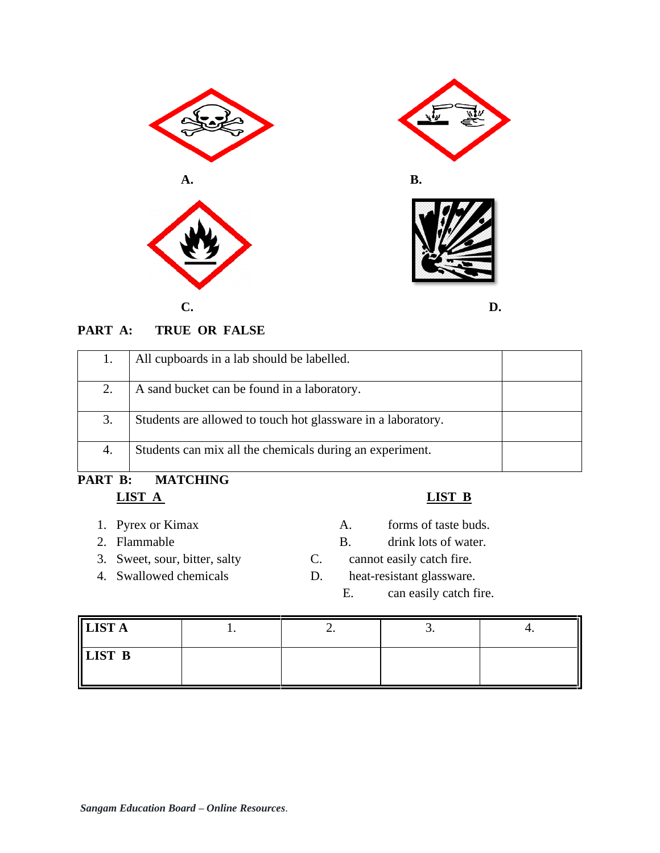

# **PART A: TRUE OR FALSE**

| Students can mix all the chemicals during an experiment.<br>4. | 3. | Students are allowed to touch hot glassware in a laboratory. |  |
|----------------------------------------------------------------|----|--------------------------------------------------------------|--|
|                                                                |    |                                                              |  |

# **PART B: MATCHING LIST A LIST B**

- 
- 
- 
- 
- 
- 1. Pyrex or Kimax A. forms of taste buds.
- 2. Flammable B. drink lots of water.
- 3. Sweet, sour, bitter, salty C. cannot easily catch fire.
- 4. Swallowed chemicals D. heat-resistant glassware.
	- E. can easily catch fire.

| I<br>LIST A   | <b>_.</b> | ، ب |  |
|---------------|-----------|-----|--|
| <b>LIST B</b> |           |     |  |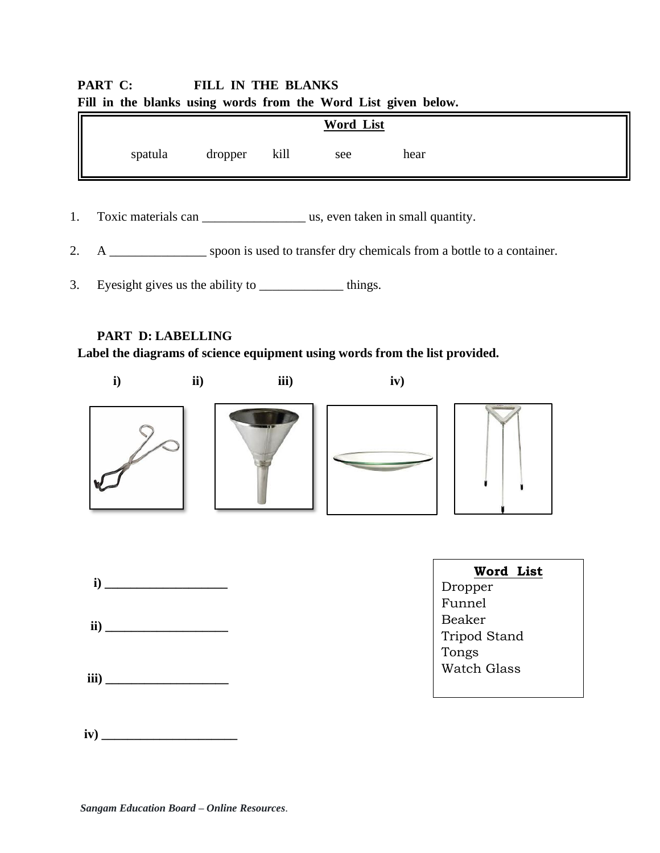# **PART C: FILL IN THE BLANKS Fill in the blanks using words from the Word List given below.**

|         |         |      | Word List |      |  |
|---------|---------|------|-----------|------|--|
| spatula | dropper | kill | see       | hear |  |

1. Toxic materials can us, even taken in small quantity.

2. A \_\_\_\_\_\_\_\_\_\_\_\_\_\_\_ spoon is used to transfer dry chemicals from a bottle to a container.

3. Eyesight gives us the ability to \_\_\_\_\_\_\_\_\_\_\_\_\_\_\_\_\_\_\_\_ things.

# **PART D: LABELLING**

**Label the diagrams of science equipment using words from the list provided.**

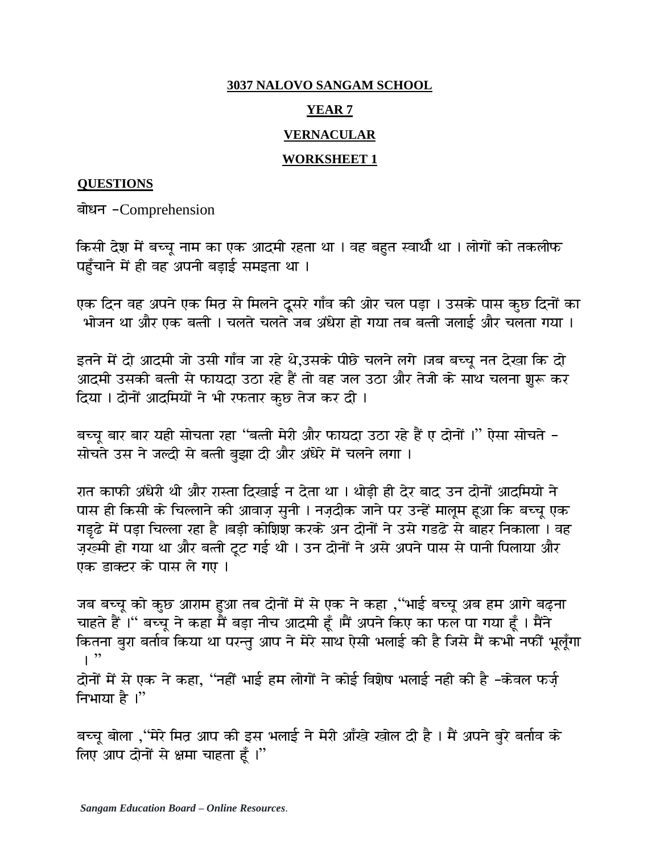## **YEAR 7**

# **VERNACULAR**

# **WORKSHEET 1**

# **QUESTIONS**

बोधन -Comprehension

किसी देश में बच्चू नाम का एक आदमी रहता था । वह बहुत स्वार्थी था । लोगों को तकलीफ पहँचाने में ही वह अपनी बड़ाई समइता था ।

एक दिन वह अपने एक मित्र से मिलने दूसरे गाँव की ओर चल पड़ा । उसके पास कुछ दिनों का भोजन था और एक बत्ती । चलते चलते जब अंधेरा हो गया तब बत्ती जलाई और चलता गया ।

इतने में दो आदमी जो उसी गाँव जा रहे थे,उसके पीछे चलने लगे ।जब बच्चू नत देखा कि दो आदमी उसकी बत्ती से फायदा उठा रहे हैं तो वह जल उठा और तेजी के साथ चलना शुरू कर दिया । दोनों आदमियों ने भी रफतार कुछ तेज कर दी ।

बच्चू बार बार यही सोचता रहा ''बत्ती मेरी और फायदा उठा रहे हैं ए दोनों ।'' ऐसा सोचते -सोचते उस ने जल्दी से बत्ती बड़ाा दी और अंधेरे में चलने लगा ।

रात काफी अंधेरी थी और रास्ता दिखाई न देता था । थोड़ी ही देर बाद उन दोनों आदमियो ने पास ही किसी के चिल्लाने की आवाज़ सुनी । नज़दीक जाने पर उन्हें मालूम हुआ कि बच्चू एक गड़ढे में पड़ा चिल्ला रहा है ।बड़ी कोशिश करके अन दोनों ने उसे गडढे से बाहर निकाला । वह ज़र्ख्मी हो गया था और बत्ती टूट गई थी । उन दोनों ने असे अपने पास से पानी पिलाया और एक डाक्टर के पास ले गए ।

जब बच्चू को कुछ आराम हुआ तब दोनों में से एक ने कहा ,''भाई बच्चू अब हम आगे बढ़ना चाहते हैं।" बच्चू ने कहा मैं बड़ा नीच आदमी हूँ ।मैं अपने किए का फल पा गया हूँ । मैंने कितना बुरा बर्ताव किया था परन्तु आप ने मेरे साथ ऐसी भलाई की है जिसे मैं कभी नफीं भूलूँगा  $\mathsf{I}$ <sup>"</sup> दोनों में से एक ने कहा, ''नहीं भाई हम लोगों ने कोई विशेष भलाई नही की है -केवल फर्ज़

निभाया है।"

बच्चू बोला ,''मेरे मित्र आप की इस भलाई ने मेरी आँखे खोल दी है । मैं अपने बुरे बर्ताव के लिए आप दोनों से क्षमा चाहता हूँ।"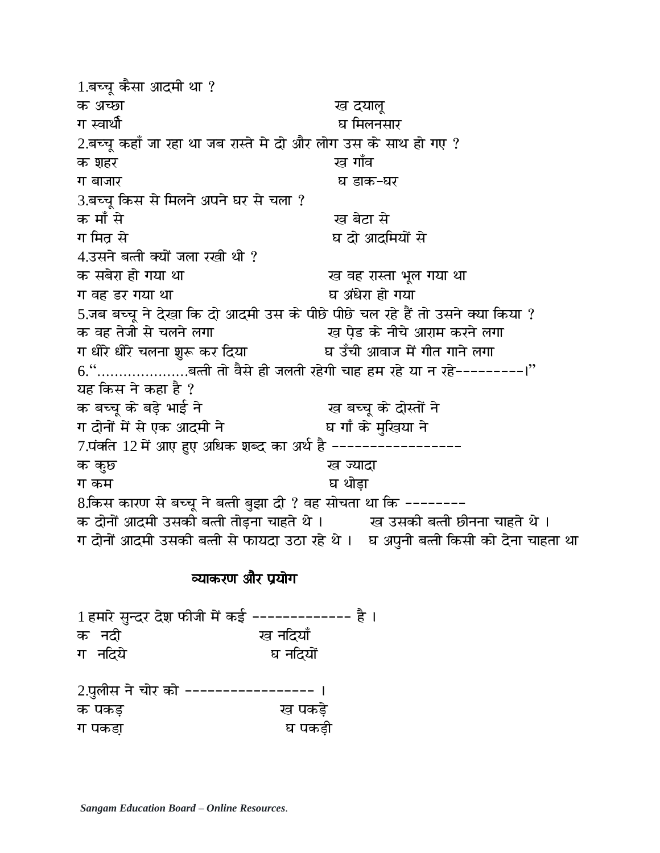1.बच्चू कैसा आदमी था ? क अच्छा सा सामान्य प्रथम स्व दयालू  $2.$ बच्चू कहाँ जा रहा था जब रास्ते मे दो और लोग उस के साथ हो गए ? क शहर कर बाद कर पांच का साथ पांच कर रख ग बाजार बाक-धर 3.बच्च किस से मिलने अपने घर से चला ? क माँ से बाद करने के बाद रही है। उस के बाद से पर स्वास्थ्य करने के बाद रही है। अब के बाद से स्वास्थ्य करने के 4.उसने बत्ती क्यों जला रखी थी ? ग वह डर गया था बाहर करके पासी पर पासी पर पासी हो। मध्य 5.जब बच्चू ने देखा कि दो आदमी उस के पीछे पीछे चल रहे हैं तो उसने क्या किया ? क वह तेजी से चलने लगा चिका बाद पड़ा के नीचे आराम करने लगा ग धीरे धीरे चलना शुरू कर दिया बाद का अबाज में गीत गाने लगा  $6.\overset{\text{{\small 4.66}}}{\text{{\small 5.67}}}\dots...\overset{\text{{\small .}}}{\text{{\small .}}$ बल्ती तो वैसे ही जलती रहेगी चाह हम रहे या न रहे---------|'' यह किस ने कहा है ? क बच्चू के बड़े भाई ने<br>ग दोनों में से एक आदमी ने घ गाँ के मुखिया ने ग दोनों में से एक आदमी ने 7.पंक्ति 12 में आए हुए अधिक शब्द का अर्थ है ------------------क कुछ । सामान्य प्राप्त स्थान के प्राप्त समाप्त करने के अन्या ग कम 8.किस कारण से बच्चू ने बत्ती बुझा दी ? वह सोचता था कि --------क दोनों आदमी उसकी बत्ती तोड़ना चाहते थे । ख उसकी बत्ती छीनना चाहते थे । ग दोनों आदमी उसकी बत्ती से फायदा उठा रहे थे । घ अपुनी बत्ती किसी को देना चाहता था

# व्याकरण और प्रयोग

1 हमारे सुन्दर देश फीजी में कई ------------- है । क नदी बाद प्यानदियाँ ग नदिये घ नदियों 2.पुलीस ने चोर को ----------------- । क पकड़ बाद करने का पकड़े

ग पकडा़ बाद कर घा घा घा घा घा घ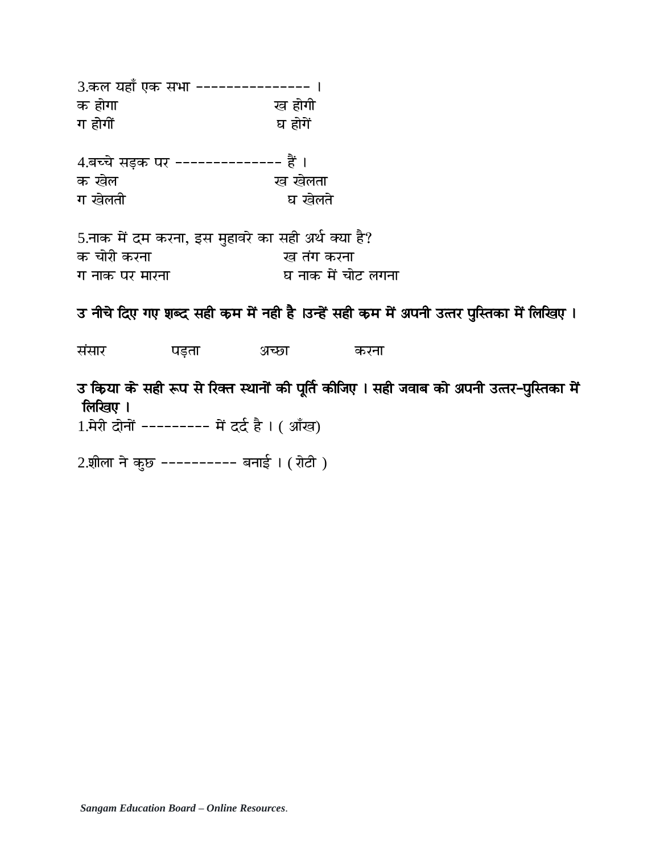| 3.कल यहाँ एक सभा ---------------     |         |
|--------------------------------------|---------|
| क होगा                               | ख होगी  |
| ग होगीं                              | घ होगें |
| 4.बच्चे सड़क पर -------------- हैं । |         |
| क खेल                                | ख खेलता |
| ग खेलती                              | घ खेलते |
|                                      |         |
|                                      |         |

5.नाक में दम करना, इस मुहावरे का सही अर्थ क्या है? क चोरी करना बाद करना करना ग नाक पर मारना घ नाक में चोट लगना

उ नीचे दिए गए शब्द सही कम में नही है ।उन्हें सही कम में अपनी उत्तर पुस्तिका में लिखिए ।

संसार पड़ता अच्छा करना

उ किया के सही रूप से रिक्त स्थानों की पूर्ति कीजिए । सही जवाब को अपनी उत्तर-पुस्तिका में लिखिए ।

1. मेरी दोनों -------- में दर्द है। (आँख)

2.शीला ने कुछ ---------- बनाई। (रोटी)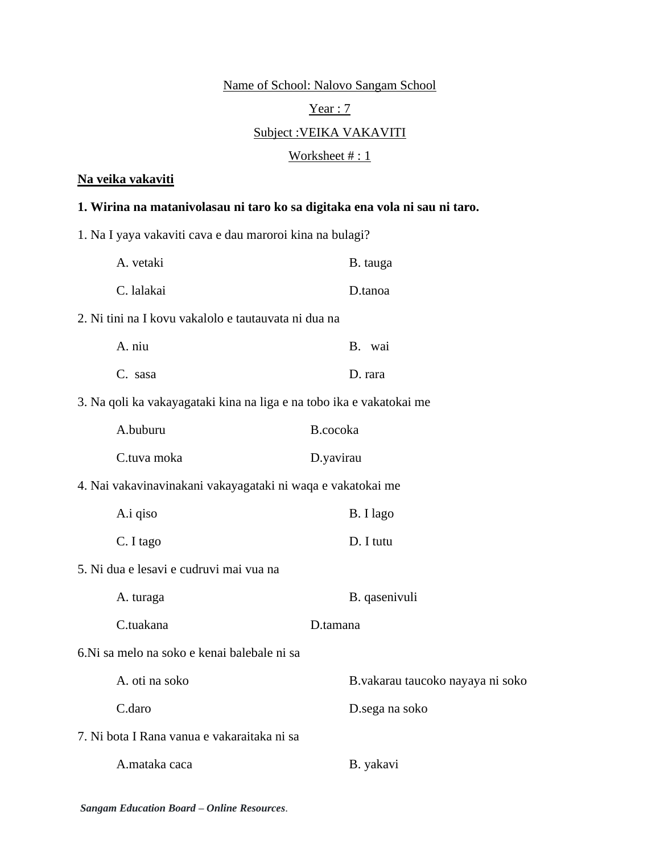Name of School: Nalovo Sangam School

# Year : 7

# Subject :VEIKA VAKAVITI

# Worksheet #: 1

# **Na veika vakaviti**

# **1. Wirina na matanivolasau ni taro ko sa digitaka ena vola ni sau ni taro.**

1. Na I yaya vakaviti cava e dau maroroi kina na bulagi?

| A. vetaki                                                            | B. tauga                         |
|----------------------------------------------------------------------|----------------------------------|
| C. lalakai                                                           | D.tanoa                          |
| 2. Ni tini na I kovu vakalolo e tautauvata ni dua na                 |                                  |
| A. niu                                                               | B. wai                           |
| C. sasa                                                              | D. rara                          |
| 3. Na qoli ka vakayagataki kina na liga e na tobo ika e vakatokai me |                                  |
| A.buburu                                                             | B.cocoka                         |
| C.tuva moka                                                          | D.yavirau                        |
| 4. Nai vakavinavinakani vakayagataki ni waqa e vakatokai me          |                                  |
| A.i qiso                                                             | B. I lago                        |
| C. I tago                                                            | D. I tutu                        |
| 5. Ni dua e lesavi e cudruvi mai vua na                              |                                  |
| A. turaga                                                            | B. qasenivuli                    |
| C.tuakana                                                            | D.tamana                         |
| 6. Ni sa melo na soko e kenai balebale ni sa                         |                                  |
| A. oti na soko                                                       | B.vakarau taucoko nayaya ni soko |
| C.daro                                                               | D.sega na soko                   |
| 7. Ni bota I Rana vanua e vakaraitaka ni sa                          |                                  |
| A.mataka caca                                                        | B. yakavi                        |
|                                                                      |                                  |